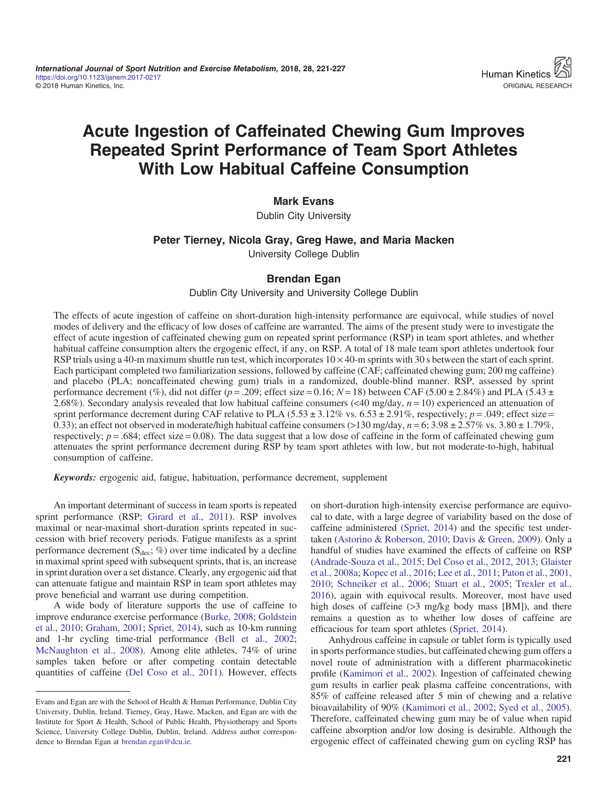# Acute Ingestion of Caffeinated Chewing Gum Improves Repeated Sprint Performance of Team Sport Athletes With Low Habitual Caffeine Consumption

## Mark Evans

Dublin City University

#### Peter Tierney, Nicola Gray, Greg Hawe, and Maria Macken

University College Dublin

#### Brendan Egan

Dublin City University and University College Dublin

The effects of acute ingestion of caffeine on short-duration high-intensity performance are equivocal, while studies of novel modes of delivery and the efficacy of low doses of caffeine are warranted. The aims of the present study were to investigate the effect of acute ingestion of caffeinated chewing gum on repeated sprint performance (RSP) in team sport athletes, and whether habitual caffeine consumption alters the ergogenic effect, if any, on RSP. A total of 18 male team sport athletes undertook four RSP trials using a 40-m maximum shuttle run test, which incorporates  $10 \times 40$ -m sprints with 30 s between the start of each sprint. Each participant completed two familiarization sessions, followed by caffeine (CAF; caffeinated chewing gum; 200 mg caffeine) and placebo (PLA; noncaffeinated chewing gum) trials in a randomized, double-blind manner. RSP, assessed by sprint performance decrement (%), did not differ ( $p = 0.209$ ; effect size  $= 0.16$ ;  $N = 18$ ) between CAF (5.00  $\pm 2.84\%$ ) and PLA (5.43  $\pm$ 2.68%). Secondary analysis revealed that low habitual caffeine consumers  $( $40 \text{ mg/day}, n = 10$ ) experienced an attenuation of$ sprint performance decrement during CAF relative to PLA  $(5.53 \pm 3.12\% \text{ vs. } 6.53 \pm 2.91\%$ , respectively;  $p = .049$ ; effect size = 0.33); an effect not observed in moderate/high habitual caffeine consumers (>130 mg/day,  $n = 6$ ; 3.98  $\pm$  2.57% vs. 3.80  $\pm$  1.79%, respectively;  $p = .684$ ; effect size = 0.08). The data suggest that a low dose of caffeine in the form of caffeinated chewing gum attenuates the sprint performance decrement during RSP by team sport athletes with low, but not moderate-to-high, habitual consumption of caffeine.

Keywords: ergogenic aid, fatigue, habituation, performance decrement, supplement

An important determinant of success in team sports is repeated sprint performance (RSP; [Girard et al., 2011\)](#page-5-0). RSP involves maximal or near-maximal short-duration sprints repeated in succession with brief recovery periods. Fatigue manifests as a sprint performance decrement ( $S_{\text{dec}}$ ; %) over time indicated by a decline in maximal sprint speed with subsequent sprints, that is, an increase in sprint duration over a set distance. Clearly, any ergogenic aid that can attenuate fatigue and maintain RSP in team sport athletes may prove beneficial and warrant use during competition.

A wide body of literature supports the use of caffeine to improve endurance exercise performance ([Burke, 2008](#page-5-0); [Goldstein](#page-5-0) [et al., 2010;](#page-5-0) [Graham, 2001;](#page-5-0) [Spriet, 2014](#page-6-0)), such as 10-km running and 1-hr cycling time-trial performance [\(Bell et al., 2002](#page-5-0); [McNaughton et al., 2008\)](#page-6-0). Among elite athletes, 74% of urine samples taken before or after competing contain detectable quantities of caffeine ([Del Coso et al., 2011](#page-5-0)). However, effects on short-duration high-intensity exercise performance are equivocal to date, with a large degree of variability based on the dose of caffeine administered ([Spriet, 2014\)](#page-6-0) and the specific test undertaken [\(Astorino & Roberson, 2010;](#page-5-0) [Davis & Green, 2009](#page-5-0)). Only a handful of studies have examined the effects of caffeine on RSP [\(Andrade-Souza et al., 2015;](#page-5-0) [Del Coso et al., 2012, 2013;](#page-5-0) [Glaister](#page-5-0) [et al., 2008a;](#page-5-0) [Kopec et al., 2016](#page-6-0); [Lee et al., 2011;](#page-6-0) [Paton et al., 2001,](#page-6-0) [2010](#page-6-0); [Schneiker et al., 2006;](#page-6-0) [Stuart et al., 2005;](#page-6-0) [Trexler et al.,](#page-6-0) [2016](#page-6-0)), again with equivocal results. Moreover, most have used high doses of caffeine (>3 mg/kg body mass [BM]), and there remains a question as to whether low doses of caffeine are efficacious for team sport athletes [\(Spriet, 2014\)](#page-6-0).

Anhydrous caffeine in capsule or tablet form is typically used in sports performance studies, but caffeinated chewing gum offers a novel route of administration with a different pharmacokinetic profile [\(Kamimori et al., 2002\)](#page-6-0). Ingestion of caffeinated chewing gum results in earlier peak plasma caffeine concentrations, with 85% of caffeine released after 5 min of chewing and a relative bioavailability of 90% [\(Kamimori et al., 2002;](#page-6-0) [Syed et al., 2005](#page-6-0)). Therefore, caffeinated chewing gum may be of value when rapid caffeine absorption and/or low dosing is desirable. Although the ergogenic effect of caffeinated chewing gum on cycling RSP has

Evans and Egan are with the School of Health & Human Performance, Dublin City University, Dublin, Ireland. Tierney, Gray, Hawe, Macken, and Egan are with the Institute for Sport & Health, School of Public Health, Physiotherapy and Sports Science, University College Dublin, Dublin, Ireland. Address author correspondence to Brendan Egan at [brendan.egan@dcu.ie](mailto:brendan.egan@dcu.ie).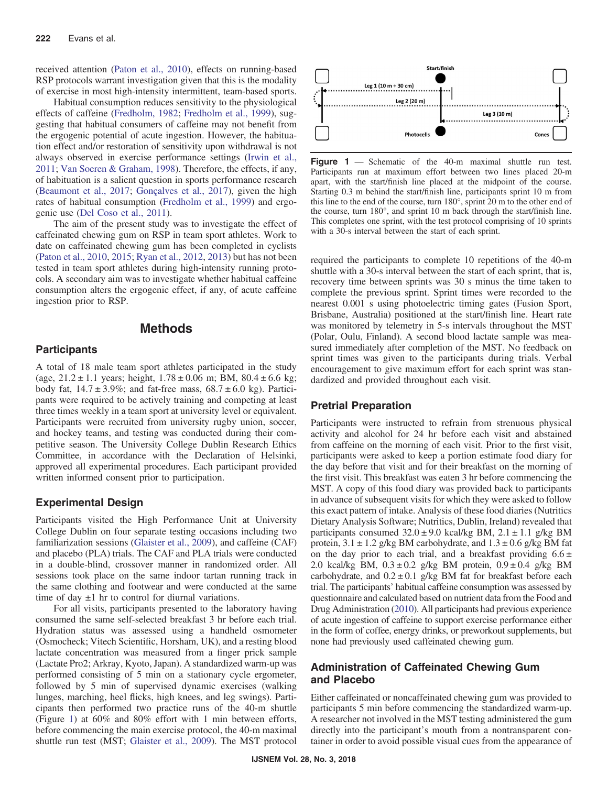received attention [\(Paton et al., 2010\)](#page-6-0), effects on running-based RSP protocols warrant investigation given that this is the modality of exercise in most high-intensity intermittent, team-based sports.

Habitual consumption reduces sensitivity to the physiological effects of caffeine [\(Fredholm, 1982](#page-5-0); [Fredholm et al., 1999\)](#page-5-0), suggesting that habitual consumers of caffeine may not benefit from the ergogenic potential of acute ingestion. However, the habituation effect and/or restoration of sensitivity upon withdrawal is not always observed in exercise performance settings ([Irwin et al.,](#page-6-0) [2011](#page-6-0); [Van Soeren & Graham, 1998\)](#page-6-0). Therefore, the effects, if any, of habituation is a salient question in sports performance research [\(Beaumont et al., 2017;](#page-5-0) [Gonçalves et al., 2017\)](#page-5-0), given the high rates of habitual consumption [\(Fredholm et al., 1999](#page-5-0)) and ergogenic use ([Del Coso et al., 2011\)](#page-5-0).

The aim of the present study was to investigate the effect of caffeinated chewing gum on RSP in team sport athletes. Work to date on caffeinated chewing gum has been completed in cyclists [\(Paton et al., 2010,](#page-6-0) [2015;](#page-6-0) [Ryan et al., 2012,](#page-6-0) [2013](#page-6-0)) but has not been tested in team sport athletes during high-intensity running protocols. A secondary aim was to investigate whether habitual caffeine consumption alters the ergogenic effect, if any, of acute caffeine ingestion prior to RSP.

## Methods

#### **Participants**

A total of 18 male team sport athletes participated in the study (age,  $21.2 \pm 1.1$  years; height,  $1.78 \pm 0.06$  m; BM,  $80.4 \pm 6.6$  kg; body fat,  $14.7 \pm 3.9\%$ ; and fat-free mass,  $68.7 \pm 6.0$  kg). Participants were required to be actively training and competing at least three times weekly in a team sport at university level or equivalent. Participants were recruited from university rugby union, soccer, and hockey teams, and testing was conducted during their competitive season. The University College Dublin Research Ethics Committee, in accordance with the Declaration of Helsinki, approved all experimental procedures. Each participant provided written informed consent prior to participation.

#### Experimental Design

Participants visited the High Performance Unit at University College Dublin on four separate testing occasions including two familiarization sessions [\(Glaister et al., 2009](#page-5-0)), and caffeine (CAF) and placebo (PLA) trials. The CAF and PLA trials were conducted in a double-blind, crossover manner in randomized order. All sessions took place on the same indoor tartan running track in the same clothing and footwear and were conducted at the same time of day  $\pm 1$  hr to control for diurnal variations.

For all visits, participants presented to the laboratory having consumed the same self-selected breakfast 3 hr before each trial. Hydration status was assessed using a handheld osmometer (Osmocheck; Vitech Scientific, Horsham, UK), and a resting blood lactate concentration was measured from a finger prick sample (Lactate Pro2; Arkray, Kyoto, Japan). A standardized warm-up was performed consisting of 5 min on a stationary cycle ergometer, followed by 5 min of supervised dynamic exercises (walking lunges, marching, heel flicks, high knees, and leg swings). Participants then performed two practice runs of the 40-m shuttle (Figure 1) at 60% and 80% effort with 1 min between efforts, before commencing the main exercise protocol, the 40-m maximal shuttle run test (MST; [Glaister et al., 2009\)](#page-5-0). The MST protocol



Figure 1 — Schematic of the 40-m maximal shuttle run test. Participants run at maximum effort between two lines placed 20-m apart, with the start/finish line placed at the midpoint of the course. Starting 0.3 m behind the start/finish line, participants sprint 10 m from this line to the end of the course, turn 180°, sprint 20 m to the other end of the course, turn 180°, and sprint 10 m back through the start/finish line. This completes one sprint, with the test protocol comprising of 10 sprints with a 30-s interval between the start of each sprint.

required the participants to complete 10 repetitions of the 40-m shuttle with a 30-s interval between the start of each sprint, that is, recovery time between sprints was 30 s minus the time taken to complete the previous sprint. Sprint times were recorded to the nearest 0.001 s using photoelectric timing gates (Fusion Sport, Brisbane, Australia) positioned at the start/finish line. Heart rate was monitored by telemetry in 5-s intervals throughout the MST (Polar, Oulu, Finland). A second blood lactate sample was measured immediately after completion of the MST. No feedback on sprint times was given to the participants during trials. Verbal encouragement to give maximum effort for each sprint was standardized and provided throughout each visit.

#### Pretrial Preparation

Participants were instructed to refrain from strenuous physical activity and alcohol for 24 hr before each visit and abstained from caffeine on the morning of each visit. Prior to the first visit, participants were asked to keep a portion estimate food diary for the day before that visit and for their breakfast on the morning of the first visit. This breakfast was eaten 3 hr before commencing the MST. A copy of this food diary was provided back to participants in advance of subsequent visits for which they were asked to follow this exact pattern of intake. Analysis of these food diaries (Nutritics Dietary Analysis Software; Nutritics, Dublin, Ireland) revealed that participants consumed  $32.0 \pm 9.0$  kcal/kg BM,  $2.1 \pm 1.1$  g/kg BM protein,  $3.1 \pm 1.2$  g/kg BM carbohydrate, and  $1.3 \pm 0.6$  g/kg BM fat on the day prior to each trial, and a breakfast providing  $6.6 \pm$ 2.0 kcal/kg BM,  $0.3 \pm 0.2$  g/kg BM protein,  $0.9 \pm 0.4$  g/kg BM carbohydrate, and  $0.2 \pm 0.1$  g/kg BM fat for breakfast before each trial. The participants' habitual caffeine consumption was assessed by questionnaire and calculated based on nutrient data from the Food and Drug Administration [\(2010\)](#page-5-0). All participants had previous experience of acute ingestion of caffeine to support exercise performance either in the form of coffee, energy drinks, or preworkout supplements, but none had previously used caffeinated chewing gum.

## Administration of Caffeinated Chewing Gum and Placebo

Either caffeinated or noncaffeinated chewing gum was provided to participants 5 min before commencing the standardized warm-up. A researcher not involved in the MST testing administered the gum directly into the participant's mouth from a nontransparent container in order to avoid possible visual cues from the appearance of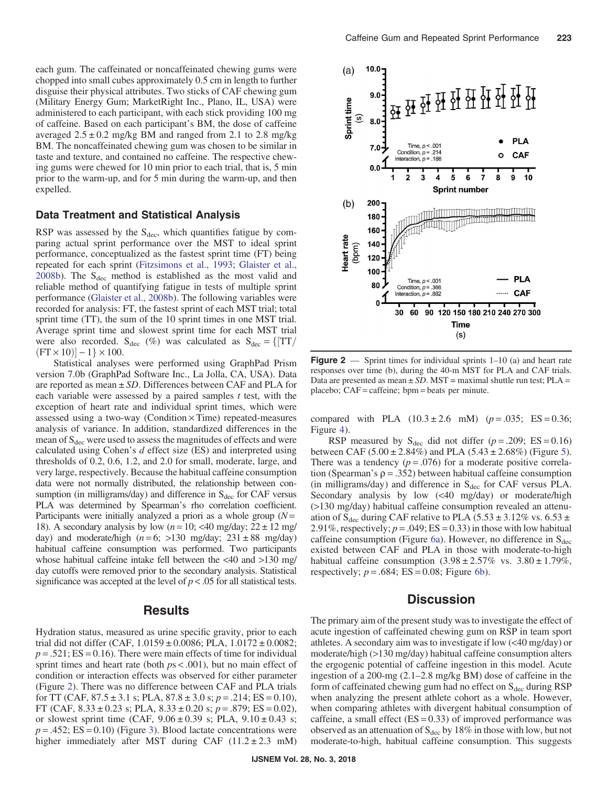each gum. The caffeinated or noncaffeinated chewing gums were chopped into small cubes approximately 0.5 cm in length to further disguise their physical attributes. Two sticks of CAF chewing gum (Military Energy Gum; MarketRight Inc., Plano, IL, USA) were administered to each participant, with each stick providing 100 mg of caffeine. Based on each participant's BM, the dose of caffeine averaged  $2.5 \pm 0.2$  mg/kg BM and ranged from 2.1 to 2.8 mg/kg BM. The noncaffeinated chewing gum was chosen to be similar in taste and texture, and contained no caffeine. The respective chewing gums were chewed for 10 min prior to each trial, that is, 5 min prior to the warm-up, and for 5 min during the warm-up, and then expelled.

#### Data Treatment and Statistical Analysis

RSP was assessed by the  $S_{\text{dec}}$ , which quantifies fatigue by comparing actual sprint performance over the MST to ideal sprint performance, conceptualized as the fastest sprint time (FT) being repeated for each sprint [\(Fitzsimons et al., 1993](#page-5-0); [Glaister et al.,](#page-5-0) [2008b](#page-5-0)). The  $S_{\text{dec}}$  method is established as the most valid and reliable method of quantifying fatigue in tests of multiple sprint performance ([Glaister et al., 2008b\)](#page-5-0). The following variables were recorded for analysis: FT, the fastest sprint of each MST trial; total sprint time (TT), the sum of the 10 sprint times in one MST trial. Average sprint time and slowest sprint time for each MST trial were also recorded.  $S_{\text{dec}}$  (%) was calculated as  $S_{\text{dec}} = \{[TT/$  $(FT \times 10)$ ] – 1} × 100.<br>Statistical analyse

Statistical analyses were performed using GraphPad Prism version 7.0b (GraphPad Software Inc., La Jolla, CA, USA). Data are reported as mean  $\pm SD$ . Differences between CAF and PLA for each variable were assessed by a paired samples  $t$  test, with the exception of heart rate and individual sprint times, which were assessed using a two-way (Condition  $\times$  Time) repeated-measures analysis of variance. In addition, standardized differences in the mean of  $S_{\text{dec}}$  were used to assess the magnitudes of effects and were calculated using Cohen's  $d$  effect size (ES) and interpreted using thresholds of 0.2, 0.6, 1.2, and 2.0 for small, moderate, large, and very large, respectively. Because the habitual caffeine consumption data were not normally distributed, the relationship between consumption (in milligrams/day) and difference in  $S_{\text{dec}}$  for CAF versus PLA was determined by Spearman's rho correlation coefficient. Participants were initially analyzed a priori as a whole group  $(N =$ 18). A secondary analysis by low ( $n = 10$ ; <40 mg/day;  $22 \pm 12$  mg/ day) and moderate/high  $(n=6; >130 \text{ mg/day}; 231 \pm 88 \text{ mg/day})$ habitual caffeine consumption was performed. Two participants whose habitual caffeine intake fell between the <40 and >130 mg/ day cutoffs were removed prior to the secondary analysis. Statistical significance was accepted at the level of  $p < .05$  for all statistical tests.

## **Results**

Hydration status, measured as urine specific gravity, prior to each trial did not differ (CAF,  $1.0159 \pm 0.0086$ ; PLA,  $1.0172 \pm 0.0082$ ;  $p = .521$ ; ES = 0.16). There were main effects of time for individual sprint times and heart rate (both  $ps < .001$ ), but no main effect of condition or interaction effects was observed for either parameter (Figure 2). There was no difference between CAF and PLA trials for TT (CAF,  $87.5 \pm 3.1$  s; PLA,  $87.8 \pm 3.0$  s;  $p = .214$ ; ES = 0.10), FT (CAF,  $8.33 \pm 0.23$  s; PLA,  $8.33 \pm 0.20$  s;  $p = .879$ ; ES = 0.02), or slowest sprint time (CAF,  $9.06 \pm 0.39$  s; PLA,  $9.10 \pm 0.43$  s;  $p = .452$ ; ES = 0.10) (Figure [3\)](#page-3-0). Blood lactate concentrations were higher immediately after MST during CAF  $(11.2 \pm 2.3 \text{ mM})$ 



**Figure 2** — Sprint times for individual sprints  $1-10$  (a) and heart rate responses over time (b), during the 40-m MST for PLA and CAF trials. Data are presented as mean  $\pm SD$ . MST = maximal shuttle run test; PLA = placebo; CAF = caffeine; bpm = beats per minute.

compared with PLA  $(10.3 \pm 2.6 \text{ mM})$   $(p = .035; ES = 0.36;$ Figure [4](#page-3-0)).

RSP measured by  $S_{\text{dec}}$  did not differ ( $p = .209$ ; ES = 0.16) between CAF ([5](#page-3-0).00  $\pm$  2.84%) and PLA (5.43  $\pm$  2.68%) (Figure 5). There was a tendency  $(p = .076)$  for a moderate positive correlation (Spearman's  $\rho = .352$ ) between habitual caffeine consumption (in milligrams/day) and difference in  $S_{\text{dec}}$  for CAF versus PLA. Secondary analysis by low (<40 mg/day) or moderate/high (>130 mg/day) habitual caffeine consumption revealed an attenuation of S<sub>dec</sub> during CAF relative to PLA (5.53  $\pm$  3.12% vs. 6.53  $\pm$ 2.91%, respectively;  $p = .049$ ; ES = 0.33) in those with low habitual caffeine consumption (Figure [6a](#page-4-0)). However, no difference in  $S_{\text{dec}}$ existed between CAF and PLA in those with moderate-to-high habitual caffeine consumption  $(3.98 \pm 2.57\% \text{ vs. } 3.80 \pm 1.79\%$ , respectively;  $p = .684$ ; ES = 0.08; Figure [6b](#page-4-0)).

# **Discussion**

The primary aim of the present study was to investigate the effect of acute ingestion of caffeinated chewing gum on RSP in team sport athletes. A secondary aim was to investigate if low (<40 mg/day) or moderate/high (>130 mg/day) habitual caffeine consumption alters the ergogenic potential of caffeine ingestion in this model. Acute ingestion of a 200-mg (2.1–2.8 mg/kg BM) dose of caffeine in the form of caffeinated chewing gum had no effect on  $S_{\text{dec}}$  during RSP when analyzing the present athlete cohort as a whole. However, when comparing athletes with divergent habitual consumption of caffeine, a small effect  $(ES = 0.33)$  of improved performance was observed as an attenuation of  $S_{\text{dec}}$  by 18% in those with low, but not moderate-to-high, habitual caffeine consumption. This suggests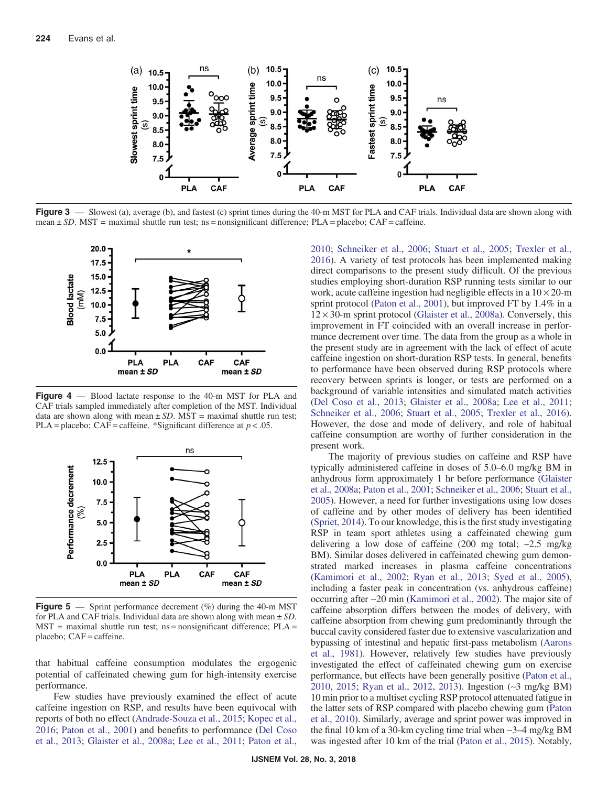<span id="page-3-0"></span>

Figure 3 — Slowest (a), average (b), and fastest (c) sprint times during the 40-m MST for PLA and CAF trials. Individual data are shown along with mean  $\pm SD$ . MST = maximal shuttle run test; ns = nonsignificant difference; PLA = placebo; CAF = caffeine.



Figure 4 — Blood lactate response to the 40-m MST for PLA and CAF trials sampled immediately after completion of the MST. Individual data are shown along with mean  $\pm SD$ . MST = maximal shuttle run test; PLA = placebo; CAF = caffeine. \*Significant difference at  $p < .05$ .



**Figure 5** — Sprint performance decrement  $(\%)$  during the 40-m MST for PLA and CAF trials. Individual data are shown along with mean  $\pm SD$ .  $MST$  = maximal shuttle run test; ns = nonsignificant difference; PLA = placebo; CAF = caffeine.

that habitual caffeine consumption modulates the ergogenic potential of caffeinated chewing gum for high-intensity exercise performance.

Few studies have previously examined the effect of acute caffeine ingestion on RSP, and results have been equivocal with reports of both no effect [\(Andrade-Souza et al., 2015](#page-5-0); [Kopec et al.,](#page-6-0) [2016](#page-6-0); [Paton et al., 2001](#page-6-0)) and benefits to performance ([Del Coso](#page-5-0) [et al., 2013](#page-5-0); [Glaister et al., 2008a](#page-5-0); [Lee et al., 2011](#page-6-0); [Paton et al.,](#page-6-0)

[2010](#page-6-0); [Schneiker et al., 2006;](#page-6-0) [Stuart et al., 2005;](#page-6-0) [Trexler et al.,](#page-6-0) [2016](#page-6-0)). A variety of test protocols has been implemented making direct comparisons to the present study difficult. Of the previous studies employing short-duration RSP running tests similar to our work, acute caffeine ingestion had negligible effects in a  $10 \times 20$ -m sprint protocol [\(Paton et al., 2001\)](#page-6-0), but improved FT by 1.4% in a  $12 \times 30$ -m sprint protocol [\(Glaister et al., 2008a\)](#page-5-0). Conversely, this improvement in FT coincided with an overall increase in performance decrement over time. The data from the group as a whole in the present study are in agreement with the lack of effect of acute caffeine ingestion on short-duration RSP tests. In general, benefits to performance have been observed during RSP protocols where recovery between sprints is longer, or tests are performed on a background of variable intensities and simulated match activities [\(Del Coso et al., 2013;](#page-5-0) [Glaister et al., 2008a](#page-5-0); [Lee et al., 2011](#page-6-0); [Schneiker et al., 2006](#page-6-0); [Stuart et al., 2005](#page-6-0); [Trexler et al., 2016](#page-6-0)). However, the dose and mode of delivery, and role of habitual caffeine consumption are worthy of further consideration in the present work.

The majority of previous studies on caffeine and RSP have typically administered caffeine in doses of 5.0–6.0 mg/kg BM in anhydrous form approximately 1 hr before performance [\(Glaister](#page-5-0) [et al., 2008a;](#page-5-0) [Paton et al., 2001;](#page-6-0) [Schneiker et al., 2006](#page-6-0); [Stuart et al.,](#page-6-0) [2005\)](#page-6-0). However, a need for further investigations using low doses of caffeine and by other modes of delivery has been identified [\(Spriet, 2014\)](#page-6-0). To our knowledge, this is the first study investigating RSP in team sport athletes using a caffeinated chewing gum delivering a low dose of caffeine  $(200 \text{ mg total}; \sim 2.5 \text{ mg/kg})$ BM). Similar doses delivered in caffeinated chewing gum demonstrated marked increases in plasma caffeine concentrations [\(Kamimori et al., 2002](#page-6-0); [Ryan et al., 2013](#page-6-0); [Syed et al., 2005](#page-6-0)), including a faster peak in concentration (vs. anhydrous caffeine) occurring after ∼20 min ([Kamimori et al., 2002\)](#page-6-0). The major site of caffeine absorption differs between the modes of delivery, with caffeine absorption from chewing gum predominantly through the buccal cavity considered faster due to extensive vascularization and bypassing of intestinal and hepatic first-pass metabolism ([Aarons](#page-5-0) [et al., 1981](#page-5-0)). However, relatively few studies have previously investigated the effect of caffeinated chewing gum on exercise performance, but effects have been generally positive [\(Paton et al.,](#page-6-0) [2010,](#page-6-0) [2015;](#page-6-0) [Ryan et al., 2012,](#page-6-0) [2013\)](#page-6-0). Ingestion (∼3 mg/kg BM) 10 min prior to a multiset cycling RSP protocol attenuated fatigue in the latter sets of RSP compared with placebo chewing gum ([Paton](#page-6-0) [et al., 2010](#page-6-0)). Similarly, average and sprint power was improved in the final 10 km of a 30-km cycling time trial when ∼3–4 mg/kg BM was ingested after 10 km of the trial [\(Paton et al., 2015](#page-6-0)). Notably,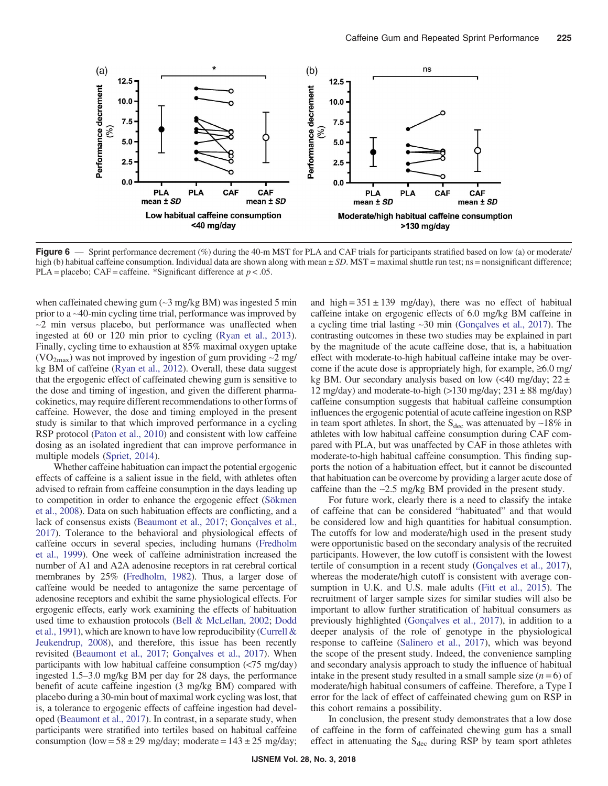<span id="page-4-0"></span>

Figure 6 — Sprint performance decrement (%) during the 40-m MST for PLA and CAF trials for participants stratified based on low (a) or moderate/ high (b) habitual caffeine consumption. Individual data are shown along with mean  $\pm SD$ . MST = maximal shuttle run test; ns = nonsignificant difference; PLA = placebo; CAF = caffeine. \*Significant difference at  $p < .05$ .

when caffeinated chewing gum (∼3 mg/kg BM) was ingested 5 min prior to a ∼40-min cycling time trial, performance was improved by ∼2 min versus placebo, but performance was unaffected when ingested at 60 or 120 min prior to cycling ([Ryan et al., 2013](#page-6-0)). Finally, cycling time to exhaustion at 85% maximal oxygen uptake (VO<sub>2max</sub>) was not improved by ingestion of gum providing ~2 mg/ kg BM of caffeine ([Ryan et al., 2012](#page-6-0)). Overall, these data suggest that the ergogenic effect of caffeinated chewing gum is sensitive to the dose and timing of ingestion, and given the different pharmacokinetics, may require different recommendations to other forms of caffeine. However, the dose and timing employed in the present study is similar to that which improved performance in a cycling RSP protocol [\(Paton et al., 2010\)](#page-6-0) and consistent with low caffeine dosing as an isolated ingredient that can improve performance in multiple models ([Spriet, 2014\)](#page-6-0).

Whether caffeine habituation can impact the potential ergogenic effects of caffeine is a salient issue in the field, with athletes often advised to refrain from caffeine consumption in the days leading up to competition in order to enhance the ergogenic effect ([Sökmen](#page-6-0) [et al., 2008\)](#page-6-0). Data on such habituation effects are conflicting, and a lack of consensus exists [\(Beaumont et al., 2017;](#page-5-0) [Gonçalves et al.,](#page-5-0) [2017\)](#page-5-0). Tolerance to the behavioral and physiological effects of caffeine occurs in several species, including humans [\(Fredholm](#page-5-0) [et al., 1999\)](#page-5-0). One week of caffeine administration increased the number of A1 and A2A adenosine receptors in rat cerebral cortical membranes by 25% ([Fredholm, 1982\)](#page-5-0). Thus, a larger dose of caffeine would be needed to antagonize the same percentage of adenosine receptors and exhibit the same physiological effects. For ergogenic effects, early work examining the effects of habituation used time to exhaustion protocols [\(Bell & McLellan, 2002;](#page-5-0) [Dodd](#page-5-0) [et al., 1991](#page-5-0)), which are known to have low reproducibility [\(Currell &](#page-5-0) [Jeukendrup, 2008](#page-5-0)), and therefore, this issue has been recently revisited [\(Beaumont et al., 2017](#page-5-0); [Gonçalves et al., 2017\)](#page-5-0). When participants with low habitual caffeine consumption (<75 mg/day) ingested 1.5–3.0 mg/kg BM per day for 28 days, the performance benefit of acute caffeine ingestion (3 mg/kg BM) compared with placebo during a 30-min bout of maximal work cycling was lost, that is, a tolerance to ergogenic effects of caffeine ingestion had developed ([Beaumont et al., 2017\)](#page-5-0). In contrast, in a separate study, when participants were stratified into tertiles based on habitual caffeine consumption (low =  $58 \pm 29$  mg/day; moderate =  $143 \pm 25$  mg/day; and high =  $351 \pm 139$  mg/day), there was no effect of habitual caffeine intake on ergogenic effects of 6.0 mg/kg BM caffeine in a cycling time trial lasting ∼30 min ([Gonçalves et al., 2017\)](#page-5-0). The contrasting outcomes in these two studies may be explained in part by the magnitude of the acute caffeine dose, that is, a habituation effect with moderate-to-high habitual caffeine intake may be overcome if the acute dose is appropriately high, for example,  $\geq 6.0$  mg/ kg BM. Our secondary analysis based on low  $\ll 40$  mg/day;  $22 \pm$ 12 mg/day) and moderate-to-high  $(>130 \text{ mg/day}; 231 \pm 88 \text{ mg/day})$ caffeine consumption suggests that habitual caffeine consumption influences the ergogenic potential of acute caffeine ingestion on RSP in team sport athletes. In short, the S<sub>dec</sub> was attenuated by ∼18% in athletes with low habitual caffeine consumption during CAF compared with PLA, but was unaffected by CAF in those athletes with moderate-to-high habitual caffeine consumption. This finding supports the notion of a habituation effect, but it cannot be discounted that habituation can be overcome by providing a larger acute dose of caffeine than the ∼2.5 mg/kg BM provided in the present study.

For future work, clearly there is a need to classify the intake of caffeine that can be considered "habituated" and that would be considered low and high quantities for habitual consumption. The cutoffs for low and moderate/high used in the present study were opportunistic based on the secondary analysis of the recruited participants. However, the low cutoff is consistent with the lowest tertile of consumption in a recent study [\(Gonçalves et al., 2017](#page-5-0)), whereas the moderate/high cutoff is consistent with average consumption in U.K. and U.S. male adults [\(Fitt et al., 2015\)](#page-5-0). The recruitment of larger sample sizes for similar studies will also be important to allow further stratification of habitual consumers as previously highlighted ([Gonçalves et al., 2017](#page-5-0)), in addition to a deeper analysis of the role of genotype in the physiological response to caffeine [\(Salinero et al., 2017](#page-6-0)), which was beyond the scope of the present study. Indeed, the convenience sampling and secondary analysis approach to study the influence of habitual intake in the present study resulted in a small sample size  $(n=6)$  of moderate/high habitual consumers of caffeine. Therefore, a Type I error for the lack of effect of caffeinated chewing gum on RSP in this cohort remains a possibility.

In conclusion, the present study demonstrates that a low dose of caffeine in the form of caffeinated chewing gum has a small effect in attenuating the  $S_{\text{dec}}$  during RSP by team sport athletes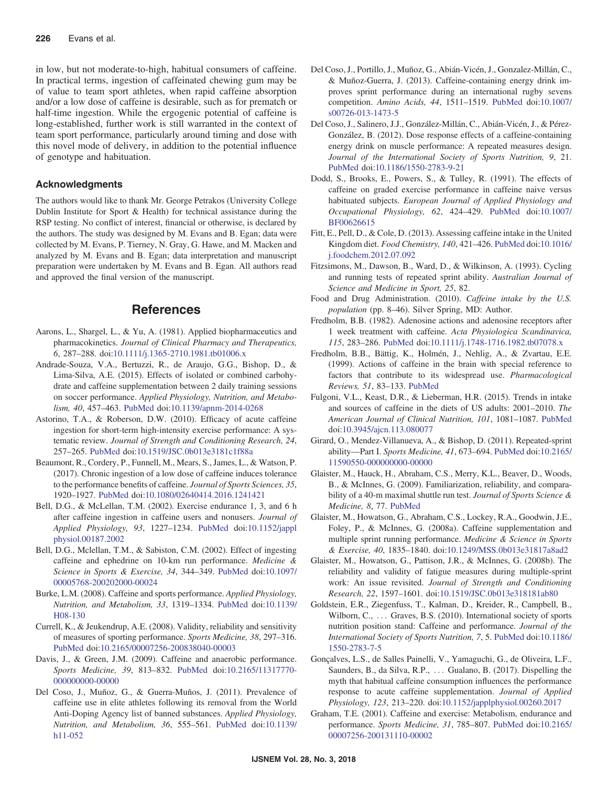<span id="page-5-0"></span>in low, but not moderate-to-high, habitual consumers of caffeine. In practical terms, ingestion of caffeinated chewing gum may be of value to team sport athletes, when rapid caffeine absorption and/or a low dose of caffeine is desirable, such as for prematch or half-time ingestion. While the ergogenic potential of caffeine is long-established, further work is still warranted in the context of team sport performance, particularly around timing and dose with this novel mode of delivery, in addition to the potential influence of genotype and habituation.

#### Acknowledgments

The authors would like to thank Mr. George Petrakos (University College Dublin Institute for Sport & Health) for technical assistance during the RSP testing. No conflict of interest, financial or otherwise, is declared by the authors. The study was designed by M. Evans and B. Egan; data were collected by M. Evans, P. Tierney, N. Gray, G. Hawe, and M. Macken and analyzed by M. Evans and B. Egan; data interpretation and manuscript preparation were undertaken by M. Evans and B. Egan. All authors read and approved the final version of the manuscript.

# References

- Aarons, L., Shargel, L., & Yu, A. (1981). Applied biopharmaceutics and pharmacokinetics. Journal of Clinical Pharmacy and Therapeutics, 6, 287–288. doi[:10.1111/j.1365-2710.1981.tb01006.x](https://doi.org/10.1111/j.1365-2710.1981.tb01006.x)
- Andrade-Souza, V.A., Bertuzzi, R., de Araujo, G.G., Bishop, D., & Lima-Silva, A.E. (2015). Effects of isolated or combined carbohydrate and caffeine supplementation between 2 daily training sessions on soccer performance. Applied Physiology, Nutrition, and Metabolism, 40, 457–463. [PubMed](http://www.ncbi.nlm.nih.gov/pubmed/25884315?dopt=Abstract) doi[:10.1139/apnm-2014-0268](https://doi.org/10.1139/apnm-2014-0268)
- Astorino, T.A., & Roberson, D.W. (2010). Efficacy of acute caffeine ingestion for short-term high-intensity exercise performance: A systematic review. Journal of Strength and Conditioning Research, 24, 257–265. [PubMed](http://www.ncbi.nlm.nih.gov/pubmed/19924012?dopt=Abstract) doi:[10.1519/JSC.0b013e3181c1f88a](https://doi.org/10.1519/JSC.0b013e3181c1f88a)
- Beaumont, R., Cordery, P., Funnell, M., Mears, S., James, L., & Watson, P. (2017). Chronic ingestion of a low dose of caffeine induces tolerance to the performance benefits of caffeine. Journal of Sports Sciences, 35, 1920–1927. [PubMed](http://www.ncbi.nlm.nih.gov/pubmed/27762662?dopt=Abstract) doi[:10.1080/02640414.2016.1241421](https://doi.org/10.1080/02640414.2016.1241421)
- Bell, D.G., & McLellan, T.M. (2002). Exercise endurance 1, 3, and 6 h after caffeine ingestion in caffeine users and nonusers. Journal of Applied Physiology, 93, 1227–1234. [PubMed](http://www.ncbi.nlm.nih.gov/pubmed/12235019?dopt=Abstract) doi:[10.1152/jappl](https://doi.org/10.1152/japplphysiol.00187.2002) [physiol.00187.2002](https://doi.org/10.1152/japplphysiol.00187.2002)
- Bell, D.G., Mclellan, T.M., & Sabiston, C.M. (2002). Effect of ingesting caffeine and ephedrine on 10-km run performance. Medicine & Science in Sports & Exercise, 34, 344–349. [PubMed](http://www.ncbi.nlm.nih.gov/pubmed/11828246?dopt=Abstract) doi[:10.1097/](https://doi.org/10.1097/00005768-200202000-00024) [00005768-200202000-00024](https://doi.org/10.1097/00005768-200202000-00024)
- Burke, L.M. (2008). Caffeine and sports performance. Applied Physiology, Nutrition, and Metabolism, 33, 1319–1334. [PubMed](http://www.ncbi.nlm.nih.gov/pubmed/19088794?dopt=Abstract) doi[:10.1139/](https://doi.org/10.1139/H08-130) [H08-130](https://doi.org/10.1139/H08-130)
- Currell, K., & Jeukendrup, A.E. (2008). Validity, reliability and sensitivity of measures of sporting performance. Sports Medicine, 38, 297–316. [PubMed](http://www.ncbi.nlm.nih.gov/pubmed/18348590?dopt=Abstract) doi[:10.2165/00007256-200838040-00003](https://doi.org/10.2165/00007256-200838040-00003)
- Davis, J., & Green, J.M. (2009). Caffeine and anaerobic performance. Sports Medicine, 39, 813–832. [PubMed](http://www.ncbi.nlm.nih.gov/pubmed/19757860?dopt=Abstract) doi[:10.2165/11317770-](https://doi.org/10.2165/11317770-000000000-00000) [000000000-00000](https://doi.org/10.2165/11317770-000000000-00000)
- Del Coso, J., Muñoz, G., & Guerra-Muños, J. (2011). Prevalence of caffeine use in elite athletes following its removal from the World Anti-Doping Agency list of banned substances. Applied Physiology, Nutrition, and Metabolism, 36, 555–561. [PubMed](http://www.ncbi.nlm.nih.gov/pubmed/21854160?dopt=Abstract) doi[:10.1139/](https://doi.org/10.1139/h11-052) [h11-052](https://doi.org/10.1139/h11-052)
- Del Coso, J., Portillo, J., Muñoz, G., Abián-Vicén, J., Gonzalez-Millán, C., & Muñoz-Guerra, J. (2013). Caffeine-containing energy drink improves sprint performance during an international rugby sevens competition. Amino Acids, 44, 1511–1519. [PubMed](http://www.ncbi.nlm.nih.gov/pubmed/23462927?dopt=Abstract) doi[:10.1007/](https://doi.org/10.1007/s00726-013-1473-5) [s00726-013-1473-5](https://doi.org/10.1007/s00726-013-1473-5)
- Del Coso, J., Salinero, J.J., González-Millán, C., Abián-Vicén, J., & Pérez-González, B. (2012). Dose response effects of a caffeine-containing energy drink on muscle performance: A repeated measures design. Journal of the International Society of Sports Nutrition, 9, 21. [PubMed](http://www.ncbi.nlm.nih.gov/pubmed/22569090?dopt=Abstract) doi[:10.1186/1550-2783-9-21](https://doi.org/10.1186/1550-2783-9-21)
- Dodd, S., Brooks, E., Powers, S., & Tulley, R. (1991). The effects of caffeine on graded exercise performance in caffeine naive versus habituated subjects. European Journal of Applied Physiology and Occupational Physiology, 62, 424–429. [PubMed](http://www.ncbi.nlm.nih.gov/pubmed/1893906?dopt=Abstract) doi[:10.1007/](https://doi.org/10.1007/BF00626615) [BF00626615](https://doi.org/10.1007/BF00626615)
- Fitt, E., Pell, D., & Cole, D. (2013). Assessing caffeine intake in the United Kingdom diet. Food Chemistry, 140, 421–426. [PubMed](http://www.ncbi.nlm.nih.gov/pubmed/23601385?dopt=Abstract) doi[:10.1016/](https://doi.org/10.1016/j.foodchem.2012.07.092) [j.foodchem.2012.07.092](https://doi.org/10.1016/j.foodchem.2012.07.092)
- Fitzsimons, M., Dawson, B., Ward, D., & Wilkinson, A. (1993). Cycling and running tests of repeated sprint ability. Australian Journal of Science and Medicine in Sport, 25, 82.
- Food and Drug Administration. (2010). Caffeine intake by the U.S. population (pp. 8–46). Silver Spring, MD: Author.
- Fredholm, B.B. (1982). Adenosine actions and adenosine receptors after 1 week treatment with caffeine. Acta Physiologica Scandinavica, 115, 283–286. [PubMed](http://www.ncbi.nlm.nih.gov/pubmed/6291335?dopt=Abstract) doi:[10.1111/j.1748-1716.1982.tb07078.x](https://doi.org/10.1111/j.1748-1716.1982.tb07078.x)
- Fredholm, B.B., Bättig, K., Holmén, J., Nehlig, A., & Zvartau, E.E. (1999). Actions of caffeine in the brain with special reference to factors that contribute to its widespread use. Pharmacological Reviews, 51, 83–133. [PubMed](http://www.ncbi.nlm.nih.gov/pubmed/10049999?dopt=Abstract)
- Fulgoni, V.L., Keast, D.R., & Lieberman, H.R. (2015). Trends in intake and sources of caffeine in the diets of US adults: 2001–2010. The American Journal of Clinical Nutrition, 101, 1081–1087. [PubMed](http://www.ncbi.nlm.nih.gov/pubmed/25832334?dopt=Abstract) doi:[10.3945/ajcn.113.080077](https://doi.org/10.3945/ajcn.113.080077)
- Girard, O., Mendez-Villanueva, A., & Bishop, D. (2011). Repeated-sprint ability—Part I. Sports Medicine, 41, 673–694. [PubMed](http://www.ncbi.nlm.nih.gov/pubmed/21780851?dopt=Abstract) doi[:10.2165/](https://doi.org/10.2165/11590550-000000000-00000) [11590550-000000000-00000](https://doi.org/10.2165/11590550-000000000-00000)
- Glaister, M., Hauck, H., Abraham, C.S., Merry, K.L., Beaver, D., Woods, B., & McInnes, G. (2009). Familiarization, reliability, and comparability of a 40-m maximal shuttle run test. Journal of Sports Science & Medicine, 8, 77. [PubMed](http://www.ncbi.nlm.nih.gov/pubmed/24150559?dopt=Abstract)
- Glaister, M., Howatson, G., Abraham, C.S., Lockey, R.A., Goodwin, J.E., Foley, P., & McInnes, G. (2008a). Caffeine supplementation and multiple sprint running performance. Medicine & Science in Sports & Exercise, 40, 1835–1840. doi[:10.1249/MSS.0b013e31817a8ad2](https://doi.org/10.1249/MSS.0b013e31817a8ad2)
- Glaister, M., Howatson, G., Pattison, J.R., & McInnes, G. (2008b). The reliability and validity of fatigue measures during multiple-sprint work: An issue revisited. Journal of Strength and Conditioning Research, 22, 1597–1601. doi[:10.1519/JSC.0b013e318181ab80](https://doi.org/10.1519/JSC.0b013e318181ab80)
- Goldstein, E.R., Ziegenfuss, T., Kalman, D., Kreider, R., Campbell, B., Wilborn, C., ... Graves, B.S. (2010). International society of sports nutrition position stand: Caffeine and performance. Journal of the International Society of Sports Nutrition, 7, 5. [PubMed](http://www.ncbi.nlm.nih.gov/pubmed/20205813?dopt=Abstract) doi[:10.1186/](https://doi.org/10.1186/1550-2783-7-5) [1550-2783-7-5](https://doi.org/10.1186/1550-2783-7-5)
- Gonçalves, L.S., de Salles Painelli, V., Yamaguchi, G., de Oliveira, L.F., Saunders, B., da Silva, R.P., ... Gualano, B. (2017). Dispelling the myth that habitual caffeine consumption influences the performance response to acute caffeine supplementation. Journal of Applied Physiology, 123, 213–220. doi[:10.1152/japplphysiol.00260.2017](https://doi.org/10.1152/japplphysiol.00260.2017)
- Graham, T.E. (2001). Caffeine and exercise: Metabolism, endurance and performance. Sports Medicine, 31, 785–807. [PubMed](http://www.ncbi.nlm.nih.gov/pubmed/11583104?dopt=Abstract) doi[:10.2165/](https://doi.org/10.2165/00007256-200131110-00002) [00007256-200131110-00002](https://doi.org/10.2165/00007256-200131110-00002)